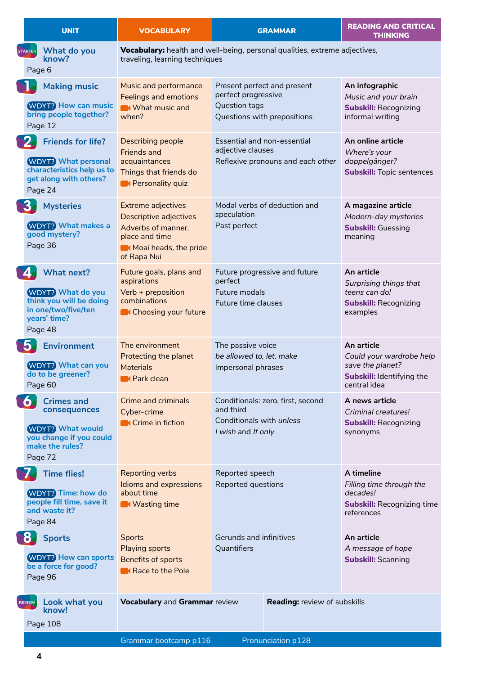| What do you<br><b>STARTER</b><br>know?<br>Page 6<br>Ŋ.<br>Music and performance<br><b>Making music</b><br>Feelings and emotions<br><b>WDYT?</b> How can music<br><b>M</b> What music and<br>bring people together?<br>when?<br>Page 12<br>Describing people<br><b>Friends for life?</b><br>Friends and<br><b>WDYT?</b> What personal<br>acquaintances<br>characteristics help us to<br>Things that friends do<br>get along with others?<br>Rersonality quiz<br>Page 24<br>Extreme adjectives<br>3.<br><b>Mysteries</b><br>Descriptive adjectives<br><b>WDYT?</b> What makes a<br>Adverbs of manner,<br>good mystery?<br>place and time<br>Page 36<br>of Rapa Nui<br>What next?<br>Future goals, plans and<br><b>4</b><br>aspirations<br><b>WDYT?</b> What do you<br>Verb + preposition<br>think you will be doing<br>combinations<br>in one/two/five/ten | Vocabulary: health and well-being, personal qualities, extreme adjectives,<br>traveling, learning techniques<br>Present perfect and present<br>perfect progressive<br>Question tags<br>Questions with prepositions<br>Essential and non-essential | An infographic<br>Music and your brain<br><b>Subskill: Recognizing</b><br>informal writing              |
|----------------------------------------------------------------------------------------------------------------------------------------------------------------------------------------------------------------------------------------------------------------------------------------------------------------------------------------------------------------------------------------------------------------------------------------------------------------------------------------------------------------------------------------------------------------------------------------------------------------------------------------------------------------------------------------------------------------------------------------------------------------------------------------------------------------------------------------------------------|---------------------------------------------------------------------------------------------------------------------------------------------------------------------------------------------------------------------------------------------------|---------------------------------------------------------------------------------------------------------|
| 2                                                                                                                                                                                                                                                                                                                                                                                                                                                                                                                                                                                                                                                                                                                                                                                                                                                        |                                                                                                                                                                                                                                                   |                                                                                                         |
|                                                                                                                                                                                                                                                                                                                                                                                                                                                                                                                                                                                                                                                                                                                                                                                                                                                          |                                                                                                                                                                                                                                                   |                                                                                                         |
|                                                                                                                                                                                                                                                                                                                                                                                                                                                                                                                                                                                                                                                                                                                                                                                                                                                          | adjective clauses<br>Reflexive pronouns and each other                                                                                                                                                                                            | An online article<br>Where's your<br>doppelgänger?<br><b>Subskill: Topic sentences</b>                  |
|                                                                                                                                                                                                                                                                                                                                                                                                                                                                                                                                                                                                                                                                                                                                                                                                                                                          | Modal verbs of deduction and<br>speculation<br>Past perfect<br>Moai heads, the pride                                                                                                                                                              | A magazine article<br>Modern-day mysteries<br><b>Subskill: Guessing</b><br>meaning                      |
| years' time?<br>Page 48                                                                                                                                                                                                                                                                                                                                                                                                                                                                                                                                                                                                                                                                                                                                                                                                                                  | Future progressive and future<br>perfect<br>Future modals<br>Future time clauses<br><b>Choosing your future</b>                                                                                                                                   | An article<br>Surprising things that<br>teens can do!<br><b>Subskill: Recognizing</b><br>examples       |
| 5.<br>The environment<br><b>Environment</b><br>Protecting the planet<br><b>WDYT?</b> What can you<br>Materials<br>do to be greener?<br><b>N</b> Park clean<br>Page 60                                                                                                                                                                                                                                                                                                                                                                                                                                                                                                                                                                                                                                                                                    | The passive voice<br>be allowed to, let, make<br>Impersonal phrases                                                                                                                                                                               | An article<br>Could your wardrobe help<br>save the planet?<br>Subskill: Identifying the<br>central idea |
| 6<br>Crime and criminals<br><b>Crimes and</b><br>consequences<br>Cyber-crime<br><b>Crime in fiction</b><br><b>WDYT?</b> What would<br>you change if you could<br>make the rules?<br>Page 72                                                                                                                                                                                                                                                                                                                                                                                                                                                                                                                                                                                                                                                              | Conditionals: zero, first, second<br>and third<br>Conditionals with unless<br>I wish and If only                                                                                                                                                  | A news article<br>Criminal creatures!<br><b>Subskill: Recognizing</b><br>synonyms                       |
| V.<br><b>Time flies!</b><br>Reporting verbs<br>Idioms and expressions<br><b>WDYT?</b> Time: how do<br>about time<br>people fill time, save it<br><b>M</b> Wasting time<br>and waste it?<br>Page 84                                                                                                                                                                                                                                                                                                                                                                                                                                                                                                                                                                                                                                                       | Reported speech<br>Reported questions                                                                                                                                                                                                             | A timeline<br>Filling time through the<br>decades!<br><b>Subskill: Recognizing time</b><br>references   |
| <b>B</b><br><b>Sports</b><br><b>Sports</b><br>Playing sports<br><b>WDYT?</b> How can sports<br>Benefits of sports<br>be a force for good?<br>Race to the Pole<br>Page 96                                                                                                                                                                                                                                                                                                                                                                                                                                                                                                                                                                                                                                                                                 | Gerunds and infinitives<br>Quantifiers                                                                                                                                                                                                            | An article<br>A message of hope<br><b>Subskill: Scanning</b>                                            |
| Vocabulary and Grammar review<br>Look what you<br>REVIEW<br>know!<br>Page 108                                                                                                                                                                                                                                                                                                                                                                                                                                                                                                                                                                                                                                                                                                                                                                            | <b>Reading: review of subskills</b>                                                                                                                                                                                                               |                                                                                                         |